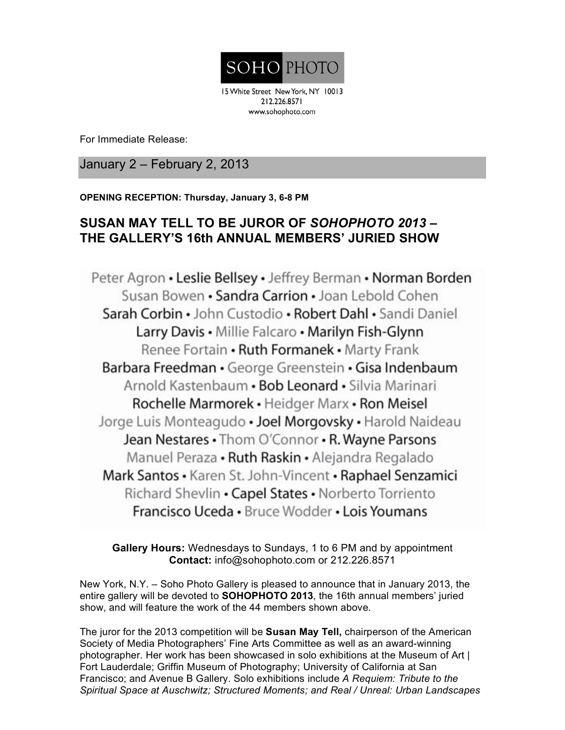

15 White Street New York, NY 10013 212.226.8571 www.sohophoto.com

For Immediate Release:

January 2 – February 2, 2013

**OPENING RECEPTION: Thursday, January 3, 6-8 PM**

## **SUSAN MAY TELL TO BE JUROR OF** *SOHOPHOTO 2013 –* **THE GALLERY'S 16th ANNUAL MEMBERS' JURIED SHOW**

Peter Agron • Leslie Bellsey • Jeffrey Berman • Norman Borden Susan Bowen • Sandra Carrion • Joan Lebold Cohen Sarah Corbin • John Custodio • Robert Dahl • Sandi Daniel Larry Davis . Millie Falcaro . Marilyn Fish-Glynn Renee Fortain • Ruth Formanek • Marty Frank Barbara Freedman · George Greenstein · Gisa Indenbaum Arnold Kastenbaum • Bob Leonard • Silvia Marinari Rochelle Marmorek · Heidger Marx · Ron Meisel Jorge Luis Monteagudo • Joel Morgovsky • Harold Naideau Jean Nestares . Thom O'Connor . R. Wayne Parsons Manuel Peraza • Ruth Raskin • Alejandra Regalado Mark Santos • Karen St. John-Vincent • Raphael Senzamici Richard Shevlin • Capel States • Norberto Torriento Francisco Uceda • Bruce Wodder • Lois Youmans

**Gallery Hours:** Wednesdays to Sundays, 1 to 6 PM and by appointment **Contact:** info@sohophoto.com or 212.226.8571

New York, N.Y. – Soho Photo Gallery is pleased to announce that in January 2013, the entire gallery will be devoted to **SOHOPHOTO 2013**, the 16th annual members' juried show, and will feature the work of the 44 members shown above.

The juror for the 2013 competition will be **Susan May Tell,** chairperson of the American Society of Media Photographers' Fine Arts Committee as well as an award-winning photographer. Her work has been showcased in solo exhibitions at the Museum of Art | Fort Lauderdale; Griffin Museum of Photography; University of California at San Francisco; and Avenue B Gallery. Solo exhibitions include *A Requiem: Tribute to the Spiritual Space at Auschwitz; Structured Moments; and Real / Unreal: Urban Landscapes*